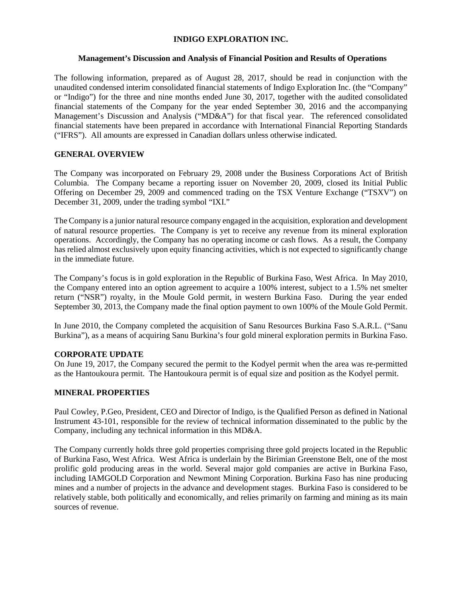### **INDIGO EXPLORATION INC.**

### **Management's Discussion and Analysis of Financial Position and Results of Operations**

The following information, prepared as of August 28, 2017, should be read in conjunction with the unaudited condensed interim consolidated financial statements of Indigo Exploration Inc. (the "Company" or "Indigo") for the three and nine months ended June 30, 2017, together with the audited consolidated financial statements of the Company for the year ended September 30, 2016 and the accompanying Management's Discussion and Analysis ("MD&A") for that fiscal year. The referenced consolidated financial statements have been prepared in accordance with International Financial Reporting Standards ("IFRS"). All amounts are expressed in Canadian dollars unless otherwise indicated.

### **GENERAL OVERVIEW**

The Company was incorporated on February 29, 2008 under the Business Corporations Act of British Columbia. The Company became a reporting issuer on November 20, 2009, closed its Initial Public Offering on December 29, 2009 and commenced trading on the TSX Venture Exchange ("TSXV") on December 31, 2009, under the trading symbol "IXI."

The Company is a junior natural resource company engaged in the acquisition, exploration and development of natural resource properties. The Company is yet to receive any revenue from its mineral exploration operations. Accordingly, the Company has no operating income or cash flows. As a result, the Company has relied almost exclusively upon equity financing activities, which is not expected to significantly change in the immediate future.

The Company's focus is in gold exploration in the Republic of Burkina Faso, West Africa. In May 2010, the Company entered into an option agreement to acquire a 100% interest, subject to a 1.5% net smelter return ("NSR") royalty, in the Moule Gold permit, in western Burkina Faso. During the year ended September 30, 2013, the Company made the final option payment to own 100% of the Moule Gold Permit.

In June 2010, the Company completed the acquisition of Sanu Resources Burkina Faso S.A.R.L. ("Sanu Burkina"), as a means of acquiring Sanu Burkina's four gold mineral exploration permits in Burkina Faso.

# **CORPORATE UPDATE**

On June 19, 2017, the Company secured the permit to the Kodyel permit when the area was re-permitted as the Hantoukoura permit. The Hantoukoura permit is of equal size and position as the Kodyel permit.

### **MINERAL PROPERTIES**

Paul Cowley, P.Geo, President, CEO and Director of Indigo, is the Qualified Person as defined in National Instrument 43-101, responsible for the review of technical information disseminated to the public by the Company, including any technical information in this MD&A.

The Company currently holds three gold properties comprising three gold projects located in the Republic of Burkina Faso, West Africa. West Africa is underlain by the Birimian Greenstone Belt, one of the most prolific gold producing areas in the world. Several major gold companies are active in Burkina Faso, including IAMGOLD Corporation and Newmont Mining Corporation. Burkina Faso has nine producing mines and a number of projects in the advance and development stages. Burkina Faso is considered to be relatively stable, both politically and economically, and relies primarily on farming and mining as its main sources of revenue.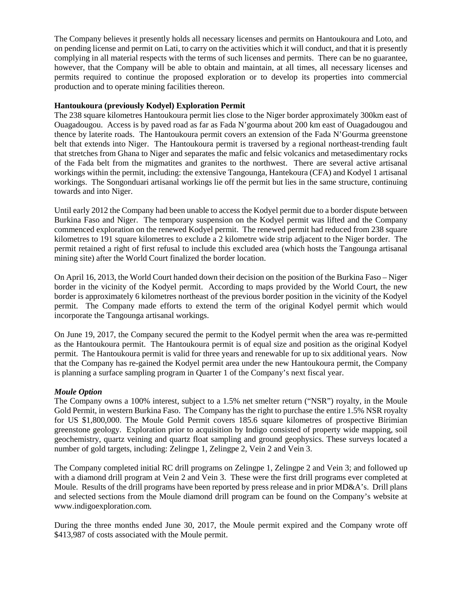The Company believes it presently holds all necessary licenses and permits on Hantoukoura and Loto, and on pending license and permit on Lati, to carry on the activities which it will conduct, and that it is presently complying in all material respects with the terms of such licenses and permits. There can be no guarantee, however, that the Company will be able to obtain and maintain, at all times, all necessary licenses and permits required to continue the proposed exploration or to develop its properties into commercial production and to operate mining facilities thereon.

### **Hantoukoura (previously Kodyel) Exploration Permit**

The 238 square kilometres Hantoukoura permit lies close to the Niger border approximately 300km east of Ouagadougou. Access is by paved road as far as Fada N'gourma about 200 km east of Ouagadougou and thence by laterite roads. The Hantoukoura permit covers an extension of the Fada N'Gourma greenstone belt that extends into Niger. The Hantoukoura permit is traversed by a regional northeast-trending fault that stretches from Ghana to Niger and separates the mafic and felsic volcanics and metasedimentary rocks of the Fada belt from the migmatites and granites to the northwest. There are several active artisanal workings within the permit, including: the extensive Tangounga, Hantekoura (CFA) and Kodyel 1 artisanal workings. The Songonduari artisanal workings lie off the permit but lies in the same structure, continuing towards and into Niger.

Until early 2012 the Company had been unable to access the Kodyel permit due to a border dispute between Burkina Faso and Niger. The temporary suspension on the Kodyel permit was lifted and the Company commenced exploration on the renewed Kodyel permit. The renewed permit had reduced from 238 square kilometres to 191 square kilometres to exclude a 2 kilometre wide strip adjacent to the Niger border. The permit retained a right of first refusal to include this excluded area (which hosts the Tangounga artisanal mining site) after the World Court finalized the border location.

On April 16, 2013, the World Court handed down their decision on the position of the Burkina Faso – Niger border in the vicinity of the Kodyel permit. According to maps provided by the World Court, the new border is approximately 6 kilometres northeast of the previous border position in the vicinity of the Kodyel permit. The Company made efforts to extend the term of the original Kodyel permit which would incorporate the Tangounga artisanal workings.

On June 19, 2017, the Company secured the permit to the Kodyel permit when the area was re-permitted as the Hantoukoura permit. The Hantoukoura permit is of equal size and position as the original Kodyel permit. The Hantoukoura permit is valid for three years and renewable for up to six additional years. Now that the Company has re-gained the Kodyel permit area under the new Hantoukoura permit, the Company is planning a surface sampling program in Quarter 1 of the Company's next fiscal year.

### *Moule Option*

The Company owns a 100% interest, subject to a 1.5% net smelter return ("NSR") royalty, in the Moule Gold Permit, in western Burkina Faso. The Company has the right to purchase the entire 1.5% NSR royalty for US \$1,800,000. The Moule Gold Permit covers 185.6 square kilometres of prospective Birimian greenstone geology. Exploration prior to acquisition by Indigo consisted of property wide mapping, soil geochemistry, quartz veining and quartz float sampling and ground geophysics. These surveys located a number of gold targets, including: Zelingpe 1, Zelingpe 2, Vein 2 and Vein 3.

The Company completed initial RC drill programs on Zelingpe 1, Zelingpe 2 and Vein 3; and followed up with a diamond drill program at Vein 2 and Vein 3. These were the first drill programs ever completed at Moule. Results of the drill programs have been reported by press release and in prior MD&A's. Drill plans and selected sections from the Moule diamond drill program can be found on the Company's website at [www.indigoexploration.com.](http://www.indigoexploration.com/)

During the three months ended June 30, 2017, the Moule permit expired and the Company wrote off \$413,987 of costs associated with the Moule permit.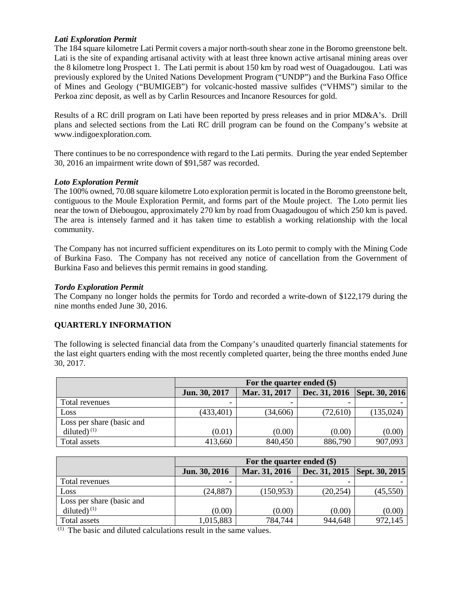### *Lati Exploration Permit*

The 184 square kilometre Lati Permit covers a major north-south shear zone in the Boromo greenstone belt. Lati is the site of expanding artisanal activity with at least three known active artisanal mining areas over the 8 kilometre long Prospect 1. The Lati permit is about 150 km by road west of Ouagadougou. Lati was previously explored by the United Nations Development Program ("UNDP") and the Burkina Faso Office of Mines and Geology ("BUMIGEB") for volcanic-hosted massive sulfides ("VHMS") similar to the Perkoa zinc deposit, as well as by Carlin Resources and Incanore Resources for gold.

Results of a RC drill program on Lati have been reported by press releases and in prior MD&A's. Drill plans and selected sections from the Lati RC drill program can be found on the Company's website at [www.indigoexploration.com.](http://www.indigoexploration.com/)

There continues to be no correspondence with regard to the Lati permits. During the year ended September 30, 2016 an impairment write down of \$91,587 was recorded.

### *Loto Exploration Permit*

The 100% owned, 70.08 square kilometre Loto exploration permit is located in the Boromo greenstone belt, contiguous to the Moule Exploration Permit, and forms part of the Moule project. The Loto permit lies near the town of Diebougou, approximately 270 km by road from Ouagadougou of which 250 km is paved. The area is intensely farmed and it has taken time to establish a working relationship with the local community.

The Company has not incurred sufficient expenditures on its Loto permit to comply with the Mining Code of Burkina Faso. The Company has not received any notice of cancellation from the Government of Burkina Faso and believes this permit remains in good standing.

### *Tordo Exploration Permit*

The Company no longer holds the permits for Tordo and recorded a write-down of \$122,179 during the nine months ended June 30, 2016.

# **QUARTERLY INFORMATION**

The following is selected financial data from the Company's unaudited quarterly financial statements for the last eight quarters ending with the most recently completed quarter, being the three months ended June 30, 2017.

|                           | For the quarter ended $(\$)$ |               |          |                                |
|---------------------------|------------------------------|---------------|----------|--------------------------------|
|                           | Jun. 30, 2017                | Mar. 31, 2017 |          | Dec. 31, 2016   Sept. 30, 2016 |
| Total revenues            |                              |               |          |                                |
| Loss                      | (433, 401)                   | (34, 606)     | (72,610) | (135, 024)                     |
| Loss per share (basic and |                              |               |          |                                |
| diluted) $(1)$            | (0.01)                       | (0.00)        | (0.00)   | (0.00)                         |
| Total assets              | 413,660                      | 840,450       | 886,790  | 907,093                        |

|                           | For the quarter ended (\$) |               |           |                                |
|---------------------------|----------------------------|---------------|-----------|--------------------------------|
|                           | Jun. 30, 2016              | Mar. 31, 2016 |           | Dec. 31, 2015   Sept. 30, 2015 |
| Total revenues            |                            |               |           |                                |
| Loss                      | (24, 887)                  | (150, 953)    | (20, 254) | (45,550)                       |
| Loss per share (basic and |                            |               |           |                                |
| diluted) $(1)$            | (0.00)                     | (0.00)        | (0.00)    | (0.00)                         |
| Total assets              | 1,015,883                  | 784,744       | 944,648   | 972,145                        |

(1) The basic and diluted calculations result in the same values.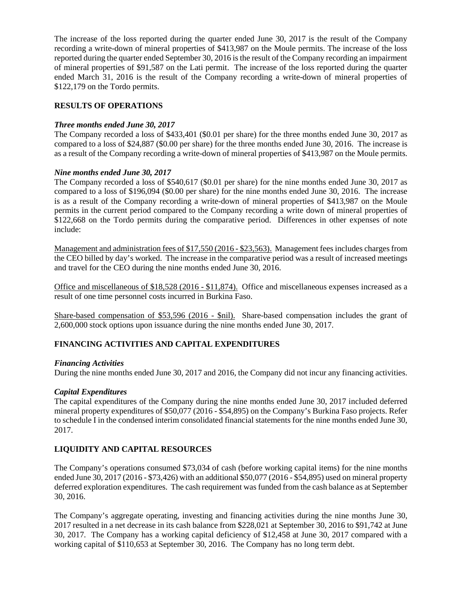The increase of the loss reported during the quarter ended June 30, 2017 is the result of the Company recording a write-down of mineral properties of \$413,987 on the Moule permits. The increase of the loss reported during the quarter ended September 30, 2016 is the result of the Company recording an impairment of mineral properties of \$91,587 on the Lati permit. The increase of the loss reported during the quarter ended March 31, 2016 is the result of the Company recording a write-down of mineral properties of \$122,179 on the Tordo permits.

### **RESULTS OF OPERATIONS**

### *Three months ended June 30, 2017*

The Company recorded a loss of \$433,401 (\$0.01 per share) for the three months ended June 30, 2017 as compared to a loss of \$24,887 (\$0.00 per share) for the three months ended June 30, 2016. The increase is as a result of the Company recording a write-down of mineral properties of \$413,987 on the Moule permits.

### *Nine months ended June 30, 2017*

The Company recorded a loss of \$540,617 (\$0.01 per share) for the nine months ended June 30, 2017 as compared to a loss of \$196,094 (\$0.00 per share) for the nine months ended June 30, 2016. The increase is as a result of the Company recording a write-down of mineral properties of \$413,987 on the Moule permits in the current period compared to the Company recording a write down of mineral properties of \$122,668 on the Tordo permits during the comparative period. Differences in other expenses of note include:

Management and administration fees of \$17,550 (2016 - \$23,563). Management fees includes charges from the CEO billed by day's worked. The increase in the comparative period was a result of increased meetings and travel for the CEO during the nine months ended June 30, 2016.

Office and miscellaneous of \$18,528 (2016 - \$11,874). Office and miscellaneous expenses increased as a result of one time personnel costs incurred in Burkina Faso.

Share-based compensation of \$53,596 (2016 - \$nil). Share-based compensation includes the grant of 2,600,000 stock options upon issuance during the nine months ended June 30, 2017.

# **FINANCING ACTIVITIES AND CAPITAL EXPENDITURES**

### *Financing Activities*

During the nine months ended June 30, 2017 and 2016, the Company did not incur any financing activities.

### *Capital Expenditures*

The capital expenditures of the Company during the nine months ended June 30, 2017 included deferred mineral property expenditures of \$50,077 (2016 - \$54,895) on the Company's Burkina Faso projects. Refer to schedule I in the condensed interim consolidated financial statements for the nine months ended June 30, 2017.

# **LIQUIDITY AND CAPITAL RESOURCES**

The Company's operations consumed \$73,034 of cash (before working capital items) for the nine months ended June 30, 2017 (2016 - \$73,426) with an additional \$50,077 (2016 - \$54,895) used on mineral property deferred exploration expenditures. The cash requirement was funded from the cash balance as at September 30, 2016.

The Company's aggregate operating, investing and financing activities during the nine months June 30, 2017 resulted in a net decrease in its cash balance from \$228,021 at September 30, 2016 to \$91,742 at June 30, 2017. The Company has a working capital deficiency of \$12,458 at June 30, 2017 compared with a working capital of \$110,653 at September 30, 2016. The Company has no long term debt.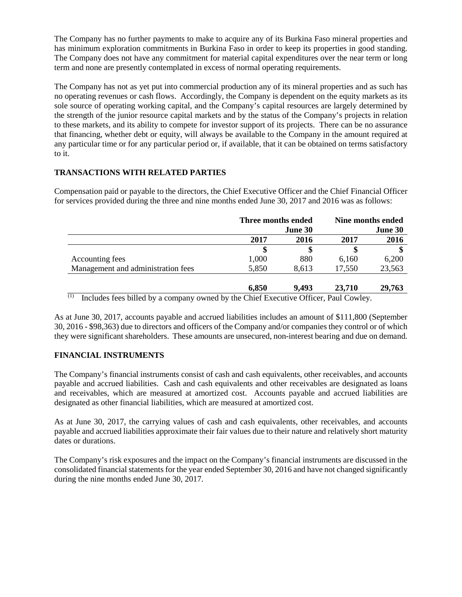The Company has no further payments to make to acquire any of its Burkina Faso mineral properties and has minimum exploration commitments in Burkina Faso in order to keep its properties in good standing. The Company does not have any commitment for material capital expenditures over the near term or long term and none are presently contemplated in excess of normal operating requirements.

The Company has not as yet put into commercial production any of its mineral properties and as such has no operating revenues or cash flows. Accordingly, the Company is dependent on the equity markets as its sole source of operating working capital, and the Company's capital resources are largely determined by the strength of the junior resource capital markets and by the status of the Company's projects in relation to these markets, and its ability to compete for investor support of its projects. There can be no assurance that financing, whether debt or equity, will always be available to the Company in the amount required at any particular time or for any particular period or, if available, that it can be obtained on terms satisfactory to it.

# **TRANSACTIONS WITH RELATED PARTIES**

Compensation paid or payable to the directors, the Chief Executive Officer and the Chief Financial Officer for services provided during the three and nine months ended June 30, 2017 and 2016 was as follows:

| Three months ended |         | Nine months ended |                                                                                                                                                                                                                                   |
|--------------------|---------|-------------------|-----------------------------------------------------------------------------------------------------------------------------------------------------------------------------------------------------------------------------------|
|                    | June 30 |                   | June 30                                                                                                                                                                                                                           |
| 2017               | 2016    | 2017              | 2016                                                                                                                                                                                                                              |
|                    |         |                   |                                                                                                                                                                                                                                   |
| 1,000              | 880     | 6.160             | 6,200                                                                                                                                                                                                                             |
| 5,850              | 8,613   | 17,550            | 23,563                                                                                                                                                                                                                            |
| 6,850              | 9.493   | 23,710            | 29,763                                                                                                                                                                                                                            |
|                    |         |                   | $(1)$ <b>T</b> 1 1 c 1 21 11 11 11 11 11 21 C $($ $)$ $($ $)$ $($ $)$ $($ $)$ $($ $)$ $($ $)$ $($ $)$ $($ $)$ $($ $)$ $($ $)$ $($ $)$ $($ $)$ $($ $)$ $($ $)$ $($ $)$ $($ $)$ $($ $)$ $($ $)$ $($ $)$ $($ $)$ $($ $)$ $($ $)$ $($ |

 $(1)$  Includes fees billed by a company owned by the Chief Executive Officer, Paul Cowley.

As at June 30, 2017, accounts payable and accrued liabilities includes an amount of \$111,800 (September 30, 2016 - \$98,363) due to directors and officers of the Company and/or companies they control or of which they were significant shareholders. These amounts are unsecured, non-interest bearing and due on demand.

# **FINANCIAL INSTRUMENTS**

The Company's financial instruments consist of cash and cash equivalents, other receivables, and accounts payable and accrued liabilities. Cash and cash equivalents and other receivables are designated as loans and receivables, which are measured at amortized cost. Accounts payable and accrued liabilities are designated as other financial liabilities, which are measured at amortized cost.

As at June 30, 2017, the carrying values of cash and cash equivalents, other receivables, and accounts payable and accrued liabilities approximate their fair values due to their nature and relatively short maturity dates or durations.

The Company's risk exposures and the impact on the Company's financial instruments are discussed in the consolidated financial statements for the year ended September 30, 2016 and have not changed significantly during the nine months ended June 30, 2017.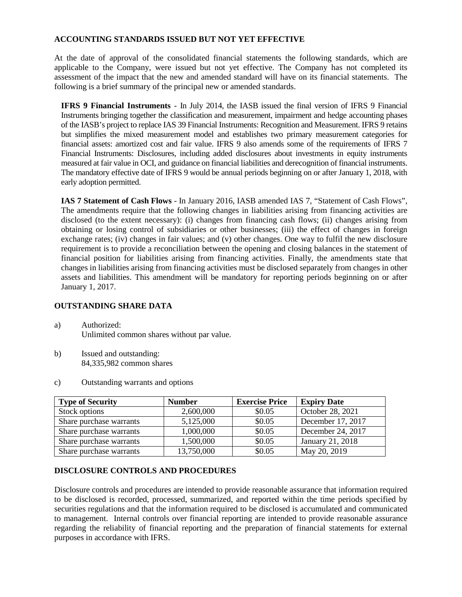### **ACCOUNTING STANDARDS ISSUED BUT NOT YET EFFECTIVE**

At the date of approval of the consolidated financial statements the following standards, which are applicable to the Company, were issued but not yet effective. The Company has not completed its assessment of the impact that the new and amended standard will have on its financial statements. The following is a brief summary of the principal new or amended standards.

**IFRS 9 Financial Instruments** - In July 2014, the IASB issued the final version of IFRS 9 Financial Instruments bringing together the classification and measurement, impairment and hedge accounting phases of the IASB's project to replace IAS 39 Financial Instruments: Recognition and Measurement. IFRS 9 retains but simplifies the mixed measurement model and establishes two primary measurement categories for financial assets: amortized cost and fair value. IFRS 9 also amends some of the requirements of IFRS 7 Financial Instruments: Disclosures, including added disclosures about investments in equity instruments measured at fair value in OCI, and guidance on financial liabilities and derecognition of financial instruments. The mandatory effective date of IFRS 9 would be annual periods beginning on or after January 1, 2018, with early adoption permitted.

**IAS 7 Statement of Cash Flows** - In January 2016, IASB amended IAS 7, "Statement of Cash Flows", The amendments require that the following changes in liabilities arising from financing activities are disclosed (to the extent necessary): (i) changes from financing cash flows; (ii) changes arising from obtaining or losing control of subsidiaries or other businesses; (iii) the effect of changes in foreign exchange rates; (iv) changes in fair values; and (v) other changes. One way to fulfil the new disclosure requirement is to provide a reconciliation between the opening and closing balances in the statement of financial position for liabilities arising from financing activities. Finally, the amendments state that changes in liabilities arising from financing activities must be disclosed separately from changes in other assets and liabilities. This amendment will be mandatory for reporting periods beginning on or after January 1, 2017.

### **OUTSTANDING SHARE DATA**

- a) Authorized: Unlimited common shares without par value.
- b) Issued and outstanding: 84,335,982 common shares
- c) Outstanding warrants and options

| <b>Type of Security</b> | <b>Number</b> | <b>Exercise Price</b> | <b>Expiry Date</b> |
|-------------------------|---------------|-----------------------|--------------------|
| Stock options           | 2,600,000     | \$0.05                | October 28, 2021   |
| Share purchase warrants | 5,125,000     | \$0.05                | December 17, 2017  |
| Share purchase warrants | 1,000,000     | \$0.05                | December 24, 2017  |
| Share purchase warrants | 1,500,000     | \$0.05                | January 21, 2018   |
| Share purchase warrants | 13,750,000    | \$0.05                | May 20, 2019       |

# **DISCLOSURE CONTROLS AND PROCEDURES**

Disclosure controls and procedures are intended to provide reasonable assurance that information required to be disclosed is recorded, processed, summarized, and reported within the time periods specified by securities regulations and that the information required to be disclosed is accumulated and communicated to management. Internal controls over financial reporting are intended to provide reasonable assurance regarding the reliability of financial reporting and the preparation of financial statements for external purposes in accordance with IFRS.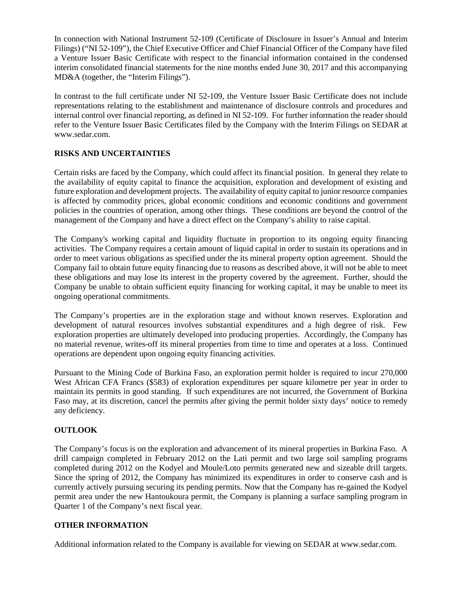In connection with National Instrument 52-109 (Certificate of Disclosure in Issuer's Annual and Interim Filings) ("NI 52-109"), the Chief Executive Officer and Chief Financial Officer of the Company have filed a Venture Issuer Basic Certificate with respect to the financial information contained in the condensed interim consolidated financial statements for the nine months ended June 30, 2017 and this accompanying MD&A (together, the "Interim Filings").

In contrast to the full certificate under NI 52-109, the Venture Issuer Basic Certificate does not include representations relating to the establishment and maintenance of disclosure controls and procedures and internal control over financial reporting, as defined in NI 52-109. For further information the reader should refer to the Venture Issuer Basic Certificates filed by the Company with the Interim Filings on SEDAR at www.sedar.com.

# **RISKS AND UNCERTAINTIES**

Certain risks are faced by the Company, which could affect its financial position. In general they relate to the availability of equity capital to finance the acquisition, exploration and development of existing and future exploration and development projects. The availability of equity capital to junior resource companies is affected by commodity prices, global economic conditions and economic conditions and government policies in the countries of operation, among other things. These conditions are beyond the control of the management of the Company and have a direct effect on the Company's ability to raise capital.

The Company's working capital and liquidity fluctuate in proportion to its ongoing equity financing activities. The Company requires a certain amount of liquid capital in order to sustain its operations and in order to meet various obligations as specified under the its mineral property option agreement. Should the Company fail to obtain future equity financing due to reasons as described above, it will not be able to meet these obligations and may lose its interest in the property covered by the agreement. Further, should the Company be unable to obtain sufficient equity financing for working capital, it may be unable to meet its ongoing operational commitments.

The Company's properties are in the exploration stage and without known reserves. Exploration and development of natural resources involves substantial expenditures and a high degree of risk. Few exploration properties are ultimately developed into producing properties. Accordingly, the Company has no material revenue, writes-off its mineral properties from time to time and operates at a loss. Continued operations are dependent upon ongoing equity financing activities.

Pursuant to the Mining Code of Burkina Faso, an exploration permit holder is required to incur 270,000 West African CFA Francs (\$583) of exploration expenditures per square kilometre per year in order to maintain its permits in good standing. If such expenditures are not incurred, the Government of Burkina Faso may, at its discretion, cancel the permits after giving the permit holder sixty days' notice to remedy any deficiency.

# **OUTLOOK**

The Company's focus is on the exploration and advancement of its mineral properties in Burkina Faso. A drill campaign completed in February 2012 on the Lati permit and two large soil sampling programs completed during 2012 on the Kodyel and Moule/Loto permits generated new and sizeable drill targets. Since the spring of 2012, the Company has minimized its expenditures in order to conserve cash and is currently actively pursuing securing its pending permits. Now that the Company has re-gained the Kodyel permit area under the new Hantoukoura permit, the Company is planning a surface sampling program in Quarter 1 of the Company's next fiscal year.

### **OTHER INFORMATION**

Additional information related to the Company is available for viewing on SEDAR a[t www.sedar.com.](http://www.sedar.com/)